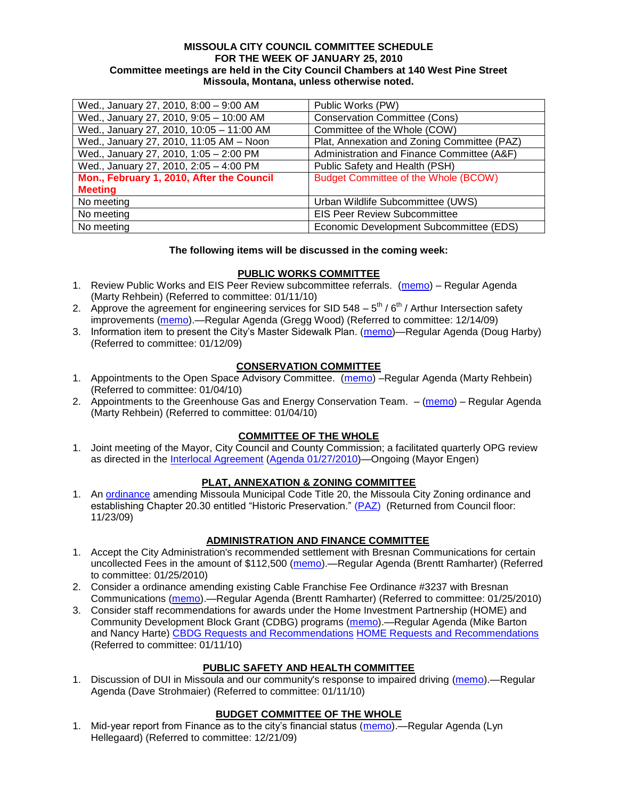### **MISSOULA CITY COUNCIL COMMITTEE SCHEDULE FOR THE WEEK OF JANUARY 25, 2010 Committee meetings are held in the City Council Chambers at 140 West Pine Street Missoula, Montana, unless otherwise noted.**

| Wed., January 27, 2010, 8:00 - 9:00 AM    | Public Works (PW)                           |
|-------------------------------------------|---------------------------------------------|
| Wed., January 27, 2010, 9:05 - 10:00 AM   | <b>Conservation Committee (Cons)</b>        |
| Wed., January 27, 2010, 10:05 - 11:00 AM  | Committee of the Whole (COW)                |
| Wed., January 27, 2010, 11:05 AM - Noon   | Plat, Annexation and Zoning Committee (PAZ) |
| Wed., January 27, 2010, 1:05 - 2:00 PM    | Administration and Finance Committee (A&F)  |
| Wed., January 27, 2010, 2:05 - 4:00 PM    | Public Safety and Health (PSH)              |
| Mon., February 1, 2010, After the Council | <b>Budget Committee of the Whole (BCOW)</b> |
| <b>Meeting</b>                            |                                             |
| No meeting                                | Urban Wildlife Subcommittee (UWS)           |
| No meeting                                | <b>EIS Peer Review Subcommittee</b>         |
| No meeting                                | Economic Development Subcommittee (EDS)     |

### **The following items will be discussed in the coming week:**

### **PUBLIC WORKS COMMITTEE**

- 1. Review Public Works and EIS Peer Review subcommittee referrals. [\(memo\)](http://www.ci.missoula.mt.us/DocumentView.aspx?DID=2933) Regular Agenda (Marty Rehbein) (Referred to committee: 01/11/10)
- 2. Approve the agreement for engineering services for SID 548  $-5^{th}$  /  $6^{th}$  / Arthur Intersection safety improvements [\(memo\)](http://www.ci.missoula.mt.us/DocumentView.aspx?DID=2816).—Regular Agenda (Gregg Wood) (Referred to committee: 12/14/09)
- 3. Information item to present the City's Master Sidewalk Plan. [\(memo\)](ftp://ftp.ci.missoula.mt.us/packets/council/2009/2009-01-12/Referrals/MstrSdwlkPlnREF.pdf)—Regular Agenda (Doug Harby) (Referred to committee: 01/12/09)

## **CONSERVATION COMMITTEE**

- 1. Appointments to the Open Space Advisory Committee. [\(memo\)](http://www.ci.missoula.mt.us/DocumentView.aspx?DID=2888) Regular Agenda (Marty Rehbein) (Referred to committee: 01/04/10)
- 2. Appointments to the Greenhouse Gas and Energy Conservation Team.  $-(\text{memo})$  Regular Agenda (Marty Rehbein) (Referred to committee: 01/04/10)

## **COMMITTEE OF THE WHOLE**

1. Joint meeting of the Mayor, City Council and County Commission; a facilitated quarterly OPG review as directed in the [Interlocal Agreement](ftp://ftp.ci.missoula.mt.us/Documents/Mayor/OPG/Adopted-ILA-2005.pdf) [\(Agenda 01/27/2010\)](http://www.ci.missoula.mt.us/DocumentView.aspx?DID=3011)—Ongoing (Mayor Engen)

# **PLAT, ANNEXATION & ZONING COMMITTEE**

1. An **ordinance** amending Missoula Municipal Code Title 20, the Missoula City Zoning [ordinance](http://www.ci.missoula.mt.us/DocumentView.aspx?DID=2669) and establishing Chapter 20.30 entitled "Historic Preservation." [\(PAZ\)](http://www.ci.missoula.mt.us/Archive.aspx?ADID=1512) (Returned from Council floor: 11/23/09)

## **ADMINISTRATION AND FINANCE COMMITTEE**

- 1. Accept the City Administration's recommended settlement with Bresnan Communications for certain uncollected Fees in the amount of \$112,500 [\(memo\)](http://www.ci.missoula.mt.us/DocumentView.aspx?DID=3022).—Regular Agenda (Brentt Ramharter) (Referred to committee: 01/25/2010)
- 2. Consider a ordinance amending existing Cable Franchise Fee Ordinance #3237 with Bresnan Communications [\(memo\)](http://www.ci.missoula.mt.us/DocumentView.aspx?DID=3023).—Regular Agenda (Brentt Ramharter) (Referred to committee: 01/25/2010)
- 3. Consider staff recommendations for awards under the Home Investment Partnership (HOME) and Community Development Block Grant (CDBG) programs [\(memo\)](http://www.ci.missoula.mt.us/DocumentView.aspx?DID=2960).—Regular Agenda (Mike Barton and Nancy Harte) [CBDG Requests and Recommendations](http://www.ci.missoula.mt.us/DocumentView.aspx?DID=3019) [HOME Requests and Recommendations](http://www.ci.missoula.mt.us/DocumentView.aspx?DID=3018) (Referred to committee: 01/11/10)

## **PUBLIC SAFETY AND HEALTH COMMITTEE**

1. Discussion of DUI in Missoula and our community's response to impaired driving [\(memo\)](http://www.ci.missoula.mt.us/DocumentView.aspx?DID=2952).—Regular Agenda (Dave Strohmaier) (Referred to committee: 01/11/10)

## **BUDGET COMMITTEE OF THE WHOLE**

1. Mid-year report from Finance as to the city's financial status [\(memo\)](http://www.ci.missoula.mt.us/DocumentView.aspx?DID=2868).—Regular Agenda (Lyn Hellegaard) (Referred to committee: 12/21/09)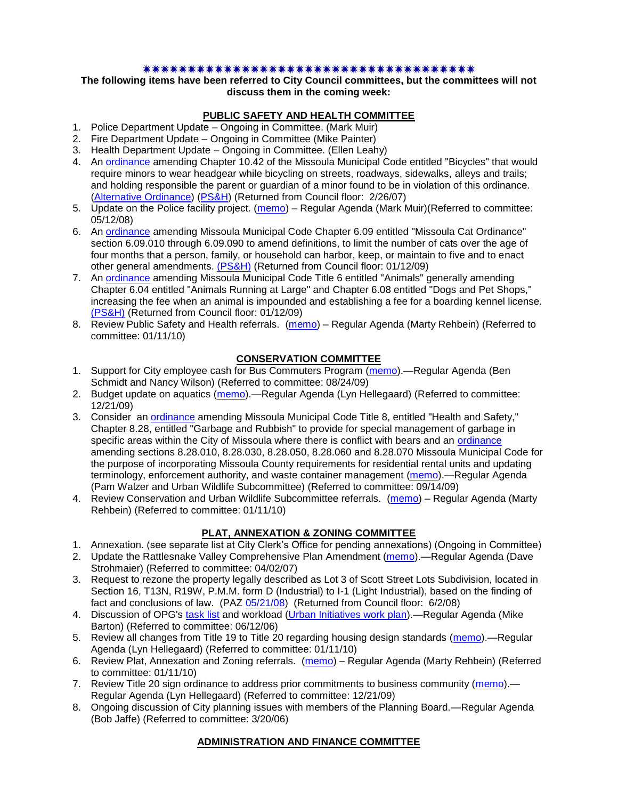#### \*\*\*\*\*\*\*\*\*\*\*\*\*\*\*\*\*\*\*\*\*\*\*\*\*\*\*\*\*\*\*\*\*\*\*\*\*\*

**The following items have been referred to City Council committees, but the committees will not discuss them in the coming week:**

### **PUBLIC SAFETY AND HEALTH COMMITTEE**

- 1. Police Department Update Ongoing in Committee. (Mark Muir)
- 2. Fire Department Update Ongoing in Committee (Mike Painter)
- 3. Health Department Update Ongoing in Committee. (Ellen Leahy)
- 4. An [ordinance](ftp://ftp.ci.missoula.mt.us/Packets/Council/2007/2007-02-05/07-01-31 Helmet and bikes psh.htm) amending Chapter 10.42 of the Missoula Municipal Code entitled "Bicycles" that would require minors to wear headgear while bicycling on streets, roadways, sidewalks, alleys and trails; and holding responsible the parent or guardian of a minor found to be in violation of this ordinance. [\(Alternative Ordinance\)](ftp://ftp.ci.missoula.mt.us/Packets/Council/2007/2007-02-26/07-02-19_Alternative_Helmet_and_bikes.htm) [\(PS&H\)](ftp://ftp.ci.missoula.mt.us/Packets/Council/2007/2007-02-05/070131psh.pdf) (Returned from Council floor: 2/26/07)
- 5. Update on the Police facility project. [\(memo\)](ftp://ftp.ci.missoula.mt.us/Packets/Council/2008/2008-05-12/Referrals/Buildingpresentationreferral.htm) Regular Agenda (Mark Muir) (Referred to committee: 05/12/08)
- 6. An [ordinance](ftp://ftp.ci.missoula.mt.us/Packets/Council/2008/2008-12-15/2008CatOrdinanceAmendment%5B1%5D.pdf) amending Missoula Municipal Code Chapter 6.09 entitled "Missoula Cat Ordinance" section 6.09.010 through 6.09.090 to amend definitions, to limit the number of cats over the age of four months that a person, family, or household can harbor, keep, or maintain to five and to enact other general amendments. [\(PS&H\)](ftp://ftp.ci.missoula.mt.us/Packets/Council/2008/2008-12-15/081210psh.pdf) (Returned from Council floor: 01/12/09)
- 7. An [ordinance](ftp://ftp.ci.missoula.mt.us/Packets/Council/2008/2008-12-15/DogOrdinance--PSHrevisions.pdf) amending Missoula Municipal Code Title 6 entitled "Animals" generally amending Chapter 6.04 entitled "Animals Running at Large" and Chapter 6.08 entitled "Dogs and Pet Shops," increasing the fee when an animal is impounded and establishing a fee for a boarding kennel license. [\(PS&H\)](ftp://ftp.ci.missoula.mt.us/Packets/Council/2008/2008-12-15/081210psh.pdf) (Returned from Council floor: 01/12/09)
- 8. Review Public Safety and Health referrals. [\(memo\)](http://www.ci.missoula.mt.us/DocumentView.aspx?DID=2933) Regular Agenda (Marty Rehbein) (Referred to committee: 01/11/10)

### **CONSERVATION COMMITTEE**

- 1. Support for City employee cash for Bus Commuters Program [\(memo\)](http://www.ci.missoula.mt.us/DocumentView.aspx?DID=2127).—Regular Agenda (Ben Schmidt and Nancy Wilson) (Referred to committee: 08/24/09)
- 2. Budget update on aquatics [\(memo\)](http://www.ci.missoula.mt.us/DocumentView.aspx?DID=2864).—Regular Agenda (Lyn Hellegaard) (Referred to committee: 12/21/09)
- 3. Consider an **ordinance** amending Missoula Municipal Code Title 8, entitled "Health and Safety," Chapter 8.28, entitled "Garbage and Rubbish" to provide for special management of garbage in specific areas within the City of Missoula where there is conflict with bears and an [ordinance](http://www.ci.missoula.mt.us/DocumentView.aspx?DID=2805) amending sections 8.28.010, 8.28.030, 8.28.050, 8.28.060 and 8.28.070 Missoula Municipal Code for the purpose of incorporating Missoula County requirements for residential rental units and updating terminology, enforcement authority, and waste container management [\(memo\)](http://www.ci.missoula.mt.us/DocumentView.aspx?DID=2228).—Regular Agenda (Pam Walzer and Urban Wildlife Subcommittee) (Referred to committee: 09/14/09)
- 4. Review Conservation and Urban Wildlife Subcommittee referrals. [\(memo\)](http://www.ci.missoula.mt.us/DocumentView.aspx?DID=2933) Regular Agenda (Marty Rehbein) (Referred to committee: 01/11/10)

## **PLAT, ANNEXATION & ZONING COMMITTEE**

- 1. Annexation. (see separate list at City Clerk's Office for pending annexations) (Ongoing in Committee)
- 2. Update the Rattlesnake Valley Comprehensive Plan Amendment [\(memo\)](ftp://ftp.ci.missoula.mt.us/Packets/Council/2007/2007-04-02/Referrals/Rattlesnake_Plan_Update_referral.pdf).—Regular Agenda (Dave Strohmaier) (Referred to committee: 04/02/07)
- 3. Request to rezone the property legally described as Lot 3 of Scott Street Lots Subdivision, located in Section 16, T13N, R19W, P.M.M. form D (Industrial) to I-1 (Light Industrial), based on the finding of fact and conclusions of law. (PAZ [05/21/08\)](ftp://ftp.ci.missoula.mt.us/Packets/Council/2008/2008-06-02/080521paz.pdf) (Returned from Council floor: 6/2/08)
- 4. Discussion of OPG's [task list](ftp://ftp.ci.missoula.mt.us/Packets/Council/2008/2008-07-07/UITaskList.pdf) and workload [\(Urban Initiatives work plan\)](ftp://ftp.ci.missoula.mt.us/Packets/Council/2006/2006-06-12/Referrals/Urban_Init.htm).—Regular Agenda (Mike Barton) (Referred to committee: 06/12/06)
- 5. Review all changes from Title 19 to Title 20 regarding housing design standards [\(memo\)](http://www.ci.missoula.mt.us/DocumentView.aspx?DID=2961).—Regular Agenda (Lyn Hellegaard) (Referred to committee: 01/11/10)
- 6. Review Plat, Annexation and Zoning referrals. [\(memo\)](http://www.ci.missoula.mt.us/DocumentView.aspx?DID=2933) Regular Agenda (Marty Rehbein) (Referred to committee: 01/11/10)
- 7. Review Title 20 sign ordinance to address prior commitments to business community [\(memo\)](http://www.ci.missoula.mt.us/DocumentView.aspx?DID=2870).— Regular Agenda (Lyn Hellegaard) (Referred to committee: 12/21/09)
- 8. Ongoing discussion of City planning issues with members of the Planning Board.—Regular Agenda (Bob Jaffe) (Referred to committee: 3/20/06)

### **ADMINISTRATION AND FINANCE COMMITTEE**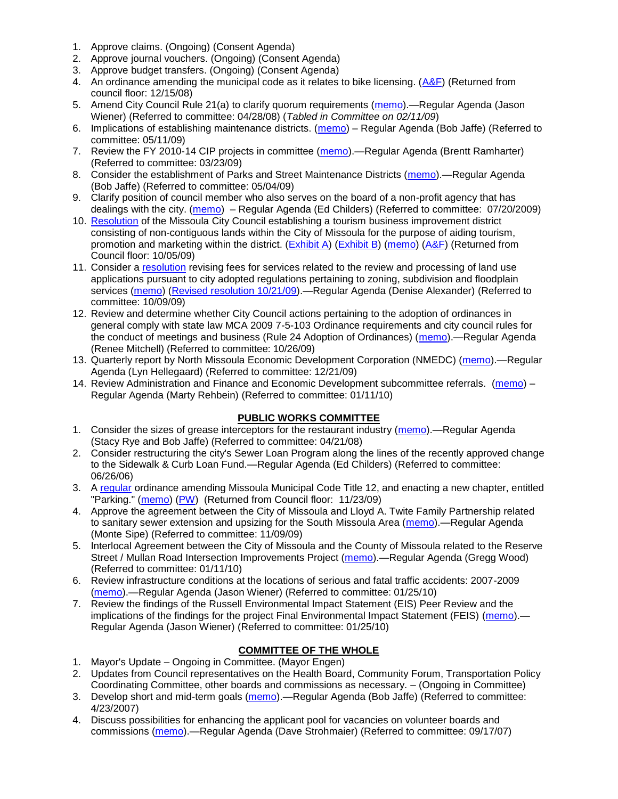- 1. Approve claims. (Ongoing) (Consent Agenda)
- 2. Approve journal vouchers. (Ongoing) (Consent Agenda)
- 3. Approve budget transfers. (Ongoing) (Consent Agenda)
- 4. An ordinance amending the municipal code as it relates to bike licensing.  $(A&F)$  (Returned from council floor: 12/15/08)
- 5. Amend City Council Rule 21(a) to clarify quorum requirements [\(memo\)](ftp://ftp.ci.missoula.mt.us/Packets/Council/2008/2008-04-28/Referrals/CouncilRule21aReferral.pdf).—Regular Agenda (Jason Wiener) (Referred to committee: 04/28/08) (*Tabled in Committee on 02/11/09*)
- 6. Implications of establishing maintenance districts. [\(memo\)](ftp://ftp.ci.missoula.mt.us/Packets/Council/2009/2009-05-11/Referrals/MaintenanceDistricts.pdf) Regular Agenda (Bob Jaffe) (Referred to committee: 05/11/09)
- 7. Review the FY 2010-14 CIP projects in committee [\(memo\)](ftp://ftp.ci.missoula.mt.us/Packets/Council/2009/2009-03-23/Referrals/RefAFCIPBudgetReviewFY2010-2014CIP.pdf).—Regular Agenda (Brentt Ramharter) (Referred to committee: 03/23/09)
- 8. Consider the establishment of Parks and Street Maintenance Districts [\(memo\)](ftp://ftp.ci.missoula.mt.us/Packets/Council/2009/2009-05-04/Referrals/MaintenanceDistricts.pdf).—Regular Agenda (Bob Jaffe) (Referred to committee: 05/04/09)
- 9. Clarify position of council member who also serves on the board of a non-profit agency that has dealings with the city. [\(memo\)](http://www.ci.missoula.mt.us/DocumentView.aspx?DID=1840) – Regular Agenda (Ed Childers) (Referred to committee: 07/20/2009)
- 10. [Resolution](http://www.ci.missoula.mt.us/DocumentView.aspx?DID=2373) of the Missoula City Council establishing a tourism business improvement district consisting of non-contiguous lands within the City of Missoula for the purpose of aiding tourism, promotion and marketing within the district. [\(Exhibit A\)](http://www.ci.missoula.mt.us/DocumentView.aspx?DID=2090) [\(Exhibit B\)](http://www.ci.missoula.mt.us/DocumentView.aspx?DID=2374) [\(memo\)](http://www.ci.missoula.mt.us/DocumentView.aspx?DID=2097) [\(A&F\)](http://www.ci.missoula.mt.us/Archive.aspx?ADID=1172) (Returned from Council floor: 10/05/09)
- 11. Consider a [resolution](http://www.ci.missoula.mt.us/DocumentView.aspx?DID=2444) revising fees for services related to the review and processing of land use applications pursuant to city adopted regulations pertaining to zoning, subdivision and floodplain services [\(memo\)](http://www.ci.missoula.mt.us/DocumentView.aspx?DID=2387) [\(Revised resolution 10/21/09\)](http://www.ci.missoula.mt.us/DocumentView.aspx?DID=2399).—Regular Agenda (Denise Alexander) (Referred to committee: 10/09/09)
- 12. Review and determine whether City Council actions pertaining to the adoption of ordinances in general comply with state law MCA 2009 7-5-103 Ordinance requirements and city council rules for the conduct of meetings and business (Rule 24 Adoption of Ordinances) [\(memo\)](http://www.ci.missoula.mt.us/DocumentView.aspx?DID=2468).—Regular Agenda (Renee Mitchell) (Referred to committee: 10/26/09)
- 13. Quarterly report by North Missoula Economic Development Corporation (NMEDC) [\(memo\)](http://www.ci.missoula.mt.us/DocumentView.aspx?DID=2869).—Regular Agenda (Lyn Hellegaard) (Referred to committee: 12/21/09)
- 14. Review Administration and Finance and Economic Development subcommittee referrals. [\(memo\)](http://www.ci.missoula.mt.us/DocumentView.aspx?DID=2933) Regular Agenda (Marty Rehbein) (Referred to committee: 01/11/10)

## **PUBLIC WORKS COMMITTEE**

- 1. Consider the sizes of grease interceptors for the restaurant industry [\(memo\)](ftp://ftp.ci.missoula.mt.us/Packets/Council/2008/2008-04-21/Referrals/Industrial_waste_restaurants.pdf).—Regular Agenda (Stacy Rye and Bob Jaffe) (Referred to committee: 04/21/08)
- 2. Consider restructuring the city's Sewer Loan Program along the lines of the recently approved change to the Sidewalk & Curb Loan Fund.—Regular Agenda (Ed Childers) (Referred to committee: 06/26/06)
- 3. A [regular](http://www.ci.missoula.mt.us/DocumentView.aspx?DID=2700) ordinance amending Missoula Municipal Code Title 12, and enacting a new chapter, entitled "Parking." [\(memo\)](http://www.ci.missoula.mt.us/DocumentView.aspx?DID=2366) [\(PW\)](http://www.ci.missoula.mt.us/Archive.aspx?ADID=1413) (Returned from Council floor: 11/23/09)
- 4. Approve the agreement between the City of Missoula and Lloyd A. Twite Family Partnership related to sanitary sewer extension and upsizing for the South Missoula Area [\(memo\)](http://www.ci.missoula.mt.us/DocumentView.aspx?DID=2531).—Regular Agenda (Monte Sipe) (Referred to committee: 11/09/09)
- 5. Interlocal Agreement between the City of Missoula and the County of Missoula related to the Reserve Street / Mullan Road Intersection Improvements Project [\(memo\)](http://www.ci.missoula.mt.us/DocumentView.aspx?DID=2959).—Regular Agenda (Gregg Wood) (Referred to committee: 01/11/10)
- 6. Review infrastructure conditions at the locations of serious and fatal traffic accidents: 2007-2009 [\(memo\)](http://www.ci.missoula.mt.us/DocumentView.aspx?DID=3031).—Regular Agenda (Jason Wiener) (Referred to committee: 01/25/10)
- 7. Review the findings of the Russell Environmental Impact Statement (EIS) Peer Review and the implications of the findings for the project Final Environmental Impact Statement (FEIS) [\(memo\)](http://www.ci.missoula.mt.us/DocumentView.aspx?DID=3032). Regular Agenda (Jason Wiener) (Referred to committee: 01/25/10)

# **COMMITTEE OF THE WHOLE**

- 1. Mayor's Update Ongoing in Committee. (Mayor Engen)
- 2. Updates from Council representatives on the Health Board, Community Forum, Transportation Policy Coordinating Committee, other boards and commissions as necessary. – (Ongoing in Committee)
- 3. Develop short and mid-term goals [\(memo\)](ftp://ftp.ci.missoula.mt.us/Packets/Council/2007/2007-04-23/Referrals/Council_Goals.pdf).—Regular Agenda (Bob Jaffe) (Referred to committee: 4/23/2007)
- 4. Discuss possibilities for enhancing the applicant pool for vacancies on volunteer boards and commissions [\(memo\)](ftp://ftp.ci.missoula.mt.us/Packets/Council/2007/2007-09-17/Referrals/board_and_commission_recruitment.pdf).—Regular Agenda (Dave Strohmaier) (Referred to committee: 09/17/07)